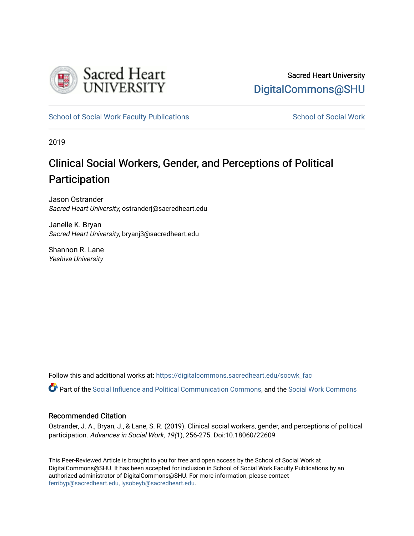

[School of Social Work Faculty Publications](https://digitalcommons.sacredheart.edu/socwk_fac) [School of Social Work](https://digitalcommons.sacredheart.edu/socwk) School of Social Work

2019

# Clinical Social Workers, Gender, and P erceptions of Political Participation

Jason Ostrander Sacred Heart University, ostranderj@sacredheart.edu

Janelle K. Bryan Sacred Heart University, bryanj3@sacredheart.edu

Shannon R. Lane Yeshiva University

Follow this and additional works at: [https://digitalcommons.sacredheart.edu/socwk\\_fac](https://digitalcommons.sacredheart.edu/socwk_fac?utm_source=digitalcommons.sacredheart.edu%2Fsocwk_fac%2F54&utm_medium=PDF&utm_campaign=PDFCoverPages) 

Part of the [Social Influence and Political Communication Commons,](http://network.bepress.com/hgg/discipline/337?utm_source=digitalcommons.sacredheart.edu%2Fsocwk_fac%2F54&utm_medium=PDF&utm_campaign=PDFCoverPages) and the [Social Work Commons](http://network.bepress.com/hgg/discipline/713?utm_source=digitalcommons.sacredheart.edu%2Fsocwk_fac%2F54&utm_medium=PDF&utm_campaign=PDFCoverPages) 

# Recommended Citation

Ostrander, J. A., Bryan, J., & Lane, S. R. (2019). Clinical social workers, gender, and perceptions of political participation. Advances in Social Work, 19(1), 256-275. Doi:10.18060/22609

This Peer-Reviewed Article is brought to you for free and open access by the School of Social Work at DigitalCommons@SHU. It has been accepted for inclusion in School of Social Work Faculty Publications by an authorized administrator of DigitalCommons@SHU. For more information, please contact [ferribyp@sacredheart.edu, lysobeyb@sacredheart.edu.](mailto:ferribyp@sacredheart.edu,%20lysobeyb@sacredheart.edu)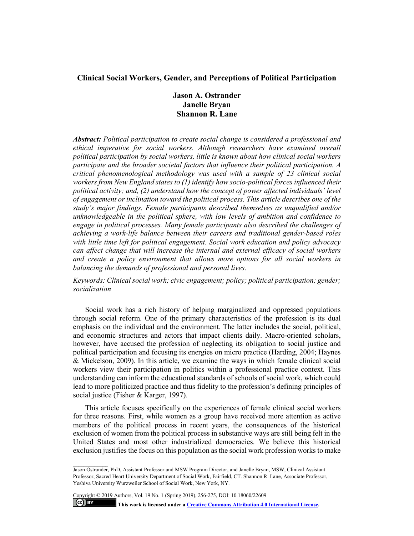# **Clinical Social Workers, Gender, and Perceptions of Political Participation**

# **Jason A. Ostrander Janelle Bryan Shannon R. Lane**

*Abstract: Political participation to create social change is considered a professional and ethical imperative for social workers. Although researchers have examined overall political participation by social workers, little is known about how clinical social workers participate and the broader societal factors that influence their political participation. A critical phenomenological methodology was used with a sample of 23 clinical social workers from New England states to (1) identify how socio-political forces influenced their political activity; and, (2) understand how the concept of power affected individuals' level of engagement or inclination toward the political process. This article describes one of the study's major findings. Female participants described themselves as unqualified and/or unknowledgeable in the political sphere, with low levels of ambition and confidence to engage in political processes. Many female participants also described the challenges of achieving a work-life balance between their careers and traditional gender-based roles with little time left for political engagement. Social work education and policy advocacy can affect change that will increase the internal and external efficacy of social workers and create a policy environment that allows more options for all social workers in balancing the demands of professional and personal lives.* 

*Keywords: Clinical social work; civic engagement; policy; political participation; gender; socialization*

Social work has a rich history of helping marginalized and oppressed populations through social reform. One of the primary characteristics of the profession is its dual emphasis on the individual and the environment. The latter includes the social, political, and economic structures and actors that impact clients daily. Macro-oriented scholars, however, have accused the profession of neglecting its obligation to social justice and political participation and focusing its energies on micro practice (Harding, 2004; Haynes & Mickelson, 2009). In this article, we examine the ways in which female clinical social workers view their participation in politics within a professional practice context. This understanding can inform the educational standards of schools of social work, which could lead to more politicized practice and thus fidelity to the profession's defining principles of social justice (Fisher & Karger, 1997).

This article focuses specifically on the experiences of female clinical social workers for three reasons. First, while women as a group have received more attention as active members of the political process in recent years, the consequences of the historical exclusion of women from the political process in substantive ways are still being felt in the United States and most other industrialized democracies. We believe this historical exclusion justifies the focus on this population as the social work profession works to make

Copyright © 2019 Authors, Vol. 19 No. 1 (Spring 2019), 256-275, DOI: 10.18060/22609

**This work is licensed under [a Creative Commons Attribution 4.0 International License.](https://creativecommons.org/licenses/by/4.0/)**

 $\left($ cc) BY

Jason Ostrander, PhD, Assistant Professor and MSW Program Director, and Janelle Bryan, MSW, Clinical Assistant Professor, Sacred Heart University Department of Social Work, Fairfield, CT. Shannon R. Lane, Associate Professor, Yeshiva University Wurzweiler School of Social Work, New York, NY.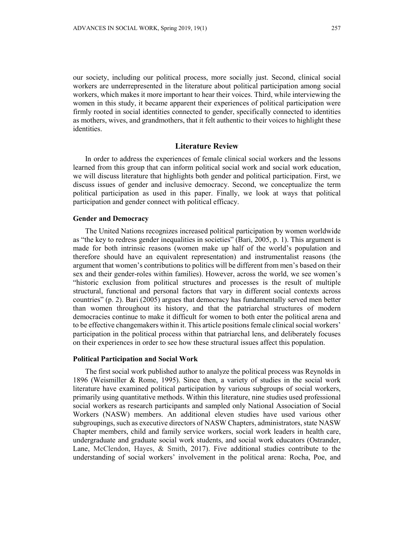our society, including our political process, more socially just. Second, clinical social workers are underrepresented in the literature about political participation among social workers, which makes it more important to hear their voices. Third, while interviewing the women in this study, it became apparent their experiences of political participation were firmly rooted in social identities connected to gender, specifically connected to identities as mothers, wives, and grandmothers, that it felt authentic to their voices to highlight these identities.

# **Literature Review**

In order to address the experiences of female clinical social workers and the lessons learned from this group that can inform political social work and social work education, we will discuss literature that highlights both gender and political participation. First, we discuss issues of gender and inclusive democracy. Second, we conceptualize the term political participation as used in this paper. Finally, we look at ways that political participation and gender connect with political efficacy.

#### **Gender and Democracy**

The United Nations recognizes increased political participation by women worldwide as "the key to redress gender inequalities in societies" (Bari, 2005, p. 1). This argument is made for both intrinsic reasons (women make up half of the world's population and therefore should have an equivalent representation) and instrumentalist reasons (the argument that women's contributions to politics will be different from men's based on their sex and their gender-roles within families). However, across the world, we see women's "historic exclusion from political structures and processes is the result of multiple structural, functional and personal factors that vary in different social contexts across countries" (p. 2). Bari (2005) argues that democracy has fundamentally served men better than women throughout its history, and that the patriarchal structures of modern democracies continue to make it difficult for women to both enter the political arena and to be effective changemakers within it. This article positions female clinical social workers' participation in the political process within that patriarchal lens, and deliberately focuses on their experiences in order to see how these structural issues affect this population.

#### **Political Participation and Social Work**

The first social work published author to analyze the political process was Reynolds in 1896 (Weismiller & Rome, 1995). Since then, a variety of studies in the social work literature have examined political participation by various subgroups of social workers, primarily using quantitative methods. Within this literature, nine studies used professional social workers as research participants and sampled only National Association of Social Workers (NASW) members. An additional eleven studies have used various other subgroupings, such as executive directors of NASW Chapters, administrators, state NASW Chapter members, child and family service workers, social work leaders in health care, undergraduate and graduate social work students, and social work educators (Ostrander, Lane, McClendon, Hayes, & Smith, 2017). Five additional studies contribute to the understanding of social workers' involvement in the political arena: Rocha, Poe, and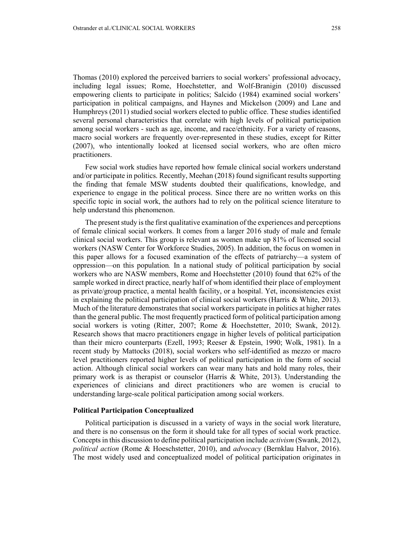Thomas (2010) explored the perceived barriers to social workers' professional advocacy, including legal issues; Rome, Hoechstetter, and Wolf-Branigin (2010) discussed empowering clients to participate in politics; Salcido (1984) examined social workers' participation in political campaigns, and Haynes and Mickelson (2009) and Lane and Humphreys (2011) studied social workers elected to public office. These studies identified several personal characteristics that correlate with high levels of political participation among social workers - such as age, income, and race/ethnicity. For a variety of reasons, macro social workers are frequently over-represented in these studies, except for Ritter (2007), who intentionally looked at licensed social workers, who are often micro practitioners.

Few social work studies have reported how female clinical social workers understand and/or participate in politics. Recently, Meehan (2018) found significant results supporting the finding that female MSW students doubted their qualifications, knowledge, and experience to engage in the political process. Since there are no written works on this specific topic in social work, the authors had to rely on the political science literature to help understand this phenomenon.

The present study is the first qualitative examination of the experiences and perceptions of female clinical social workers. It comes from a larger 2016 study of male and female clinical social workers. This group is relevant as women make up 81% of licensed social workers (NASW Center for Workforce Studies, 2005). In addition, the focus on women in this paper allows for a focused examination of the effects of patriarchy—a system of oppression—on this population*.* In a national study of political participation by social workers who are NASW members, Rome and Hoechstetter (2010) found that 62% of the sample worked in direct practice, nearly half of whom identified their place of employment as private/group practice, a mental health facility, or a hospital. Yet, inconsistencies exist in explaining the political participation of clinical social workers (Harris & White, 2013). Much of the literature demonstrates that social workers participate in politics at higher rates than the general public. The most frequently practiced form of political participation among social workers is voting (Ritter, 2007; Rome & Hoechstetter, 2010; Swank, 2012). Research shows that macro practitioners engage in higher levels of political participation than their micro counterparts (Ezell, 1993; Reeser & Epstein, 1990; Wolk, 1981). In a recent study by Mattocks (2018), social workers who self-identified as mezzo or macro level practitioners reported higher levels of political participation in the form of social action. Although clinical social workers can wear many hats and hold many roles, their primary work is as therapist or counselor (Harris  $\&$  White, 2013). Understanding the experiences of clinicians and direct practitioners who are women is crucial to understanding large-scale political participation among social workers.

#### **Political Participation Conceptualized**

Political participation is discussed in a variety of ways in the social work literature, and there is no consensus on the form it should take for all types of social work practice. Concepts in this discussion to define political participation include *activism* (Swank, 2012), *political action* (Rome & Hoeschstetter, 2010), and *advocacy* (Bernklau Halvor, 2016). The most widely used and conceptualized model of political participation originates in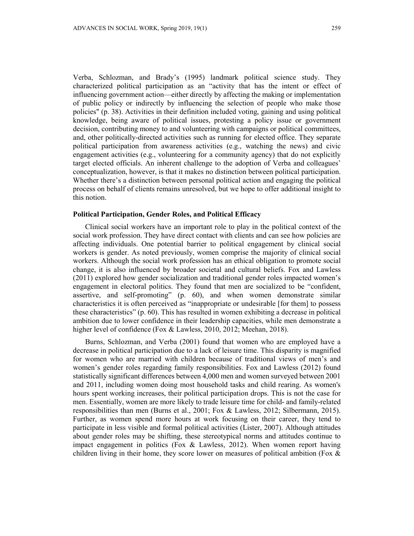Verba, Schlozman, and Brady's (1995) landmark political science study. They characterized political participation as an "activity that has the intent or effect of influencing government action—either directly by affecting the making or implementation of public policy or indirectly by influencing the selection of people who make those policies" (p. 38). Activities in their definition included voting, gaining and using political knowledge, being aware of political issues, protesting a policy issue or government decision, contributing money to and volunteering with campaigns or political committees, and, other politically-directed activities such as running for elected office. They separate political participation from awareness activities (e.g., watching the news) and civic engagement activities (e.g., volunteering for a community agency) that do not explicitly target elected officials. An inherent challenge to the adoption of Verba and colleagues' conceptualization, however, is that it makes no distinction between political participation. Whether there's a distinction between personal political action and engaging the political process on behalf of clients remains unresolved, but we hope to offer additional insight to this notion.

# **Political Participation, Gender Roles, and Political Efficacy**

Clinical social workers have an important role to play in the political context of the social work profession. They have direct contact with clients and can see how policies are affecting individuals. One potential barrier to political engagement by clinical social workers is gender. As noted previously, women comprise the majority of clinical social workers. Although the social work profession has an ethical obligation to promote social change, it is also influenced by broader societal and cultural beliefs. Fox and Lawless (2011) explored how gender socialization and traditional gender roles impacted women's engagement in electoral politics. They found that men are socialized to be "confident, assertive, and self-promoting" (p. 60), and when women demonstrate similar characteristics it is often perceived as "inappropriate or undesirable [for them] to possess these characteristics" (p. 60). This has resulted in women exhibiting a decrease in political ambition due to lower confidence in their leadership capacities, while men demonstrate a higher level of confidence (Fox & Lawless, 2010, 2012; Meehan, 2018).

Burns, Schlozman, and Verba (2001) found that women who are employed have a decrease in political participation due to a lack of leisure time. This disparity is magnified for women who are married with children because of traditional views of men's and women's gender roles regarding family responsibilities. Fox and Lawless (2012) found statistically significant differences between 4,000 men and women surveyed between 2001 and 2011, including women doing most household tasks and child rearing. As women's hours spent working increases, their political participation drops. This is not the case for men. Essentially, women are more likely to trade leisure time for child- and family-related responsibilities than men (Burns et al., 2001; Fox & Lawless, 2012; Silbermann, 2015). Further, as women spend more hours at work focusing on their career, they tend to participate in less visible and formal political activities (Lister, 2007). Although attitudes about gender roles may be shifting, these stereotypical norms and attitudes continue to impact engagement in politics (Fox & Lawless, 2012). When women report having children living in their home, they score lower on measures of political ambition (Fox &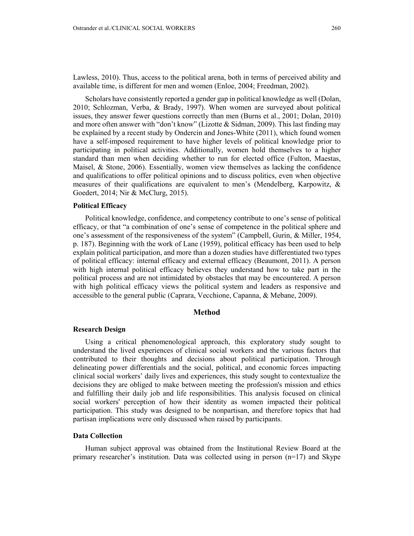Lawless, 2010). Thus, access to the political arena, both in terms of perceived ability and available time, is different for men and women (Enloe, 2004; Freedman, 2002).

Scholars have consistently reported a gender gap in political knowledge as well (Dolan, 2010; Schlozman, Verba, & Brady, 1997). When women are surveyed about political issues, they answer fewer questions correctly than men (Burns et al., 2001; Dolan, 2010) and more often answer with "don't know" (Lizotte & Sidman, 2009). This last finding may be explained by a recent study by Ondercin and Jones-White (2011), which found women have a self-imposed requirement to have higher levels of political knowledge prior to participating in political activities. Additionally, women hold themselves to a higher standard than men when deciding whether to run for elected office (Fulton, Maestas, Maisel, & Stone, 2006). Essentially, women view themselves as lacking the confidence and qualifications to offer political opinions and to discuss politics, even when objective measures of their qualifications are equivalent to men's (Mendelberg, Karpowitz, & Goedert, 2014; Nir & McClurg, 2015).

## **Political Efficacy**

Political knowledge, confidence, and competency contribute to one's sense of political efficacy, or that "a combination of one's sense of competence in the political sphere and one's assessment of the responsiveness of the system" (Campbell, Gurin, & Miller, 1954, p. 187). Beginning with the work of Lane (1959), political efficacy has been used to help explain political participation, and more than a dozen studies have differentiated two types of political efficacy: internal efficacy and external efficacy (Beaumont, 2011). A person with high internal political efficacy believes they understand how to take part in the political process and are not intimidated by obstacles that may be encountered. A person with high political efficacy views the political system and leaders as responsive and accessible to the general public (Caprara, Vecchione, Capanna, & Mebane, 2009).

# **Method**

#### **Research Design**

Using a critical phenomenological approach, this exploratory study sought to understand the lived experiences of clinical social workers and the various factors that contributed to their thoughts and decisions about political participation. Through delineating power differentials and the social, political, and economic forces impacting clinical social workers' daily lives and experiences, this study sought to contextualize the decisions they are obliged to make between meeting the profession's mission and ethics and fulfilling their daily job and life responsibilities. This analysis focused on clinical social workers' perception of how their identity as women impacted their political participation. This study was designed to be nonpartisan, and therefore topics that had partisan implications were only discussed when raised by participants.

# **Data Collection**

Human subject approval was obtained from the Institutional Review Board at the primary researcher's institution. Data was collected using in person  $(n=17)$  and Skype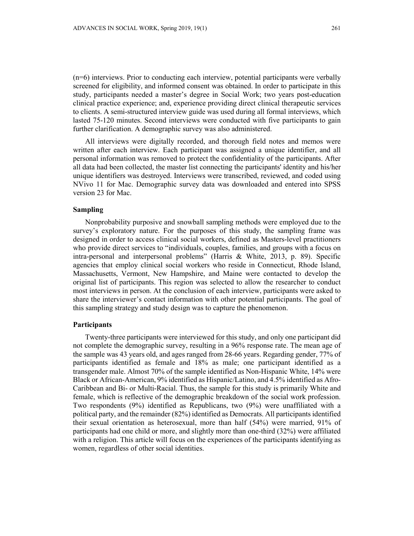(n=6) interviews. Prior to conducting each interview, potential participants were verbally screened for eligibility, and informed consent was obtained. In order to participate in this study, participants needed a master's degree in Social Work; two years post-education clinical practice experience; and, experience providing direct clinical therapeutic services to clients. A semi-structured interview guide was used during all formal interviews, which lasted 75-120 minutes. Second interviews were conducted with five participants to gain further clarification. A demographic survey was also administered.

All interviews were digitally recorded, and thorough field notes and memos were written after each interview. Each participant was assigned a unique identifier, and all personal information was removed to protect the confidentiality of the participants. After all data had been collected, the master list connecting the participants' identity and his/her unique identifiers was destroyed. Interviews were transcribed, reviewed, and coded using NVivo 11 for Mac. Demographic survey data was downloaded and entered into SPSS version 23 for Mac.

# **Sampling**

Nonprobability purposive and snowball sampling methods were employed due to the survey's exploratory nature. For the purposes of this study, the sampling frame was designed in order to access clinical social workers, defined as Masters-level practitioners who provide direct services to "individuals, couples, families, and groups with a focus on intra-personal and interpersonal problems" (Harris & White, 2013, p. 89). Specific agencies that employ clinical social workers who reside in Connecticut, Rhode Island, Massachusetts, Vermont, New Hampshire, and Maine were contacted to develop the original list of participants. This region was selected to allow the researcher to conduct most interviews in person. At the conclusion of each interview, participants were asked to share the interviewer's contact information with other potential participants. The goal of this sampling strategy and study design was to capture the phenomenon.

#### **Participants**

Twenty-three participants were interviewed for this study, and only one participant did not complete the demographic survey, resulting in a 96% response rate. The mean age of the sample was 43 years old, and ages ranged from 28-66 years. Regarding gender, 77% of participants identified as female and 18% as male; one participant identified as a transgender male. Almost 70% of the sample identified as Non-Hispanic White, 14% were Black or African-American, 9% identified as Hispanic/Latino, and 4.5% identified as Afro-Caribbean and Bi- or Multi-Racial. Thus, the sample for this study is primarily White and female, which is reflective of the demographic breakdown of the social work profession. Two respondents (9%) identified as Republicans, two (9%) were unaffiliated with a political party, and the remainder (82%) identified as Democrats. All participants identified their sexual orientation as heterosexual, more than half (54%) were married, 91% of participants had one child or more, and slightly more than one-third (32%) were affiliated with a religion. This article will focus on the experiences of the participants identifying as women, regardless of other social identities.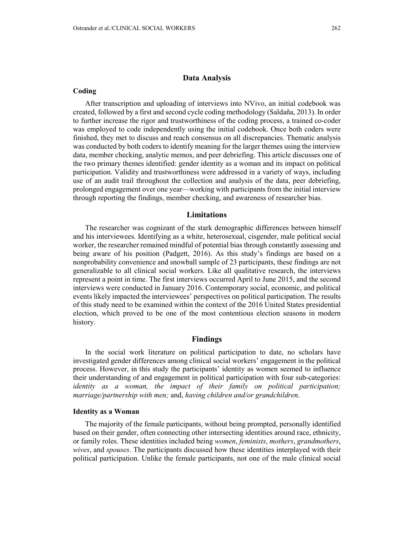## **Data Analysis**

#### **Coding**

After transcription and uploading of interviews into NVivo, an initial codebook was created, followed by a first and second cycle coding methodology (Saldaña, 2013). In order to further increase the rigor and trustworthiness of the coding process, a trained co-coder was employed to code independently using the initial codebook. Once both coders were finished, they met to discuss and reach consensus on all discrepancies. Thematic analysis was conducted by both coders to identify meaning for the larger themes using the interview data, member checking, analytic memos, and peer debriefing. This article discusses one of the two primary themes identified: gender identity as a woman and its impact on political participation. Validity and trustworthiness were addressed in a variety of ways, including use of an audit trail throughout the collection and analysis of the data, peer debriefing, prolonged engagement over one year—working with participants from the initial interview through reporting the findings, member checking, and awareness of researcher bias.

#### **Limitations**

The researcher was cognizant of the stark demographic differences between himself and his interviewees. Identifying as a white, heterosexual, cisgender, male political social worker, the researcher remained mindful of potential bias through constantly assessing and being aware of his position (Padgett, 2016). As this study's findings are based on a nonprobability convenience and snowball sample of 23 participants, these findings are not generalizable to all clinical social workers. Like all qualitative research, the interviews represent a point in time. The first interviews occurred April to June 2015, and the second interviews were conducted in January 2016. Contemporary social, economic, and political events likely impacted the interviewees' perspectives on political participation. The results of this study need to be examined within the context of the 2016 United States presidential election, which proved to be one of the most contentious election seasons in modern history.

#### **Findings**

In the social work literature on political participation to date, no scholars have investigated gender differences among clinical social workers' engagement in the political process. However, in this study the participants' identity as women seemed to influence their understanding of and engagement in political participation with four sub-categories: *identity as a woman, the impact of their family on political participation; marriage/partnership with men;* and, *having children and/or grandchildren*.

#### **Identity as a Woman**

The majority of the female participants, without being prompted, personally identified based on their gender, often connecting other intersecting identities around race, ethnicity, or family roles. These identities included being *women*, *feminists*, *mothers*, *grandmothers*, *wives*, and *spouses*. The participants discussed how these identities interplayed with their political participation. Unlike the female participants, not one of the male clinical social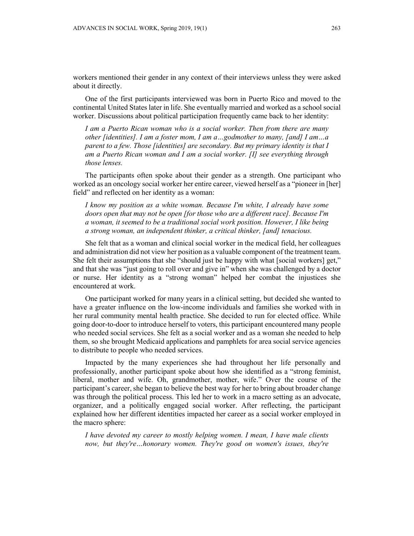workers mentioned their gender in any context of their interviews unless they were asked about it directly.

One of the first participants interviewed was born in Puerto Rico and moved to the continental United States later in life. She eventually married and worked as a school social worker. Discussions about political participation frequently came back to her identity:

*I am a Puerto Rican woman who is a social worker. Then from there are many other [identities]. I am a foster mom, I am a…godmother to many, [and] I am…a parent to a few. Those [identities] are secondary. But my primary identity is that I am a Puerto Rican woman and I am a social worker. [I] see everything through those lenses.*

The participants often spoke about their gender as a strength. One participant who worked as an oncology social worker her entire career, viewed herself as a "pioneer in [her] field" and reflected on her identity as a woman:

*I know my position as a white woman. Because I'm white, I already have some doors open that may not be open [for those who are a different race]. Because I'm a woman, it seemed to be a traditional social work position. However, I like being a strong woman, an independent thinker, a critical thinker, [and] tenacious.*

She felt that as a woman and clinical social worker in the medical field, her colleagues and administration did not view her position as a valuable component of the treatment team. She felt their assumptions that she "should just be happy with what [social workers] get," and that she was "just going to roll over and give in" when she was challenged by a doctor or nurse. Her identity as a "strong woman" helped her combat the injustices she encountered at work.

One participant worked for many years in a clinical setting, but decided she wanted to have a greater influence on the low-income individuals and families she worked with in her rural community mental health practice. She decided to run for elected office. While going door-to-door to introduce herself to voters, this participant encountered many people who needed social services. She felt as a social worker and as a woman she needed to help them, so she brought Medicaid applications and pamphlets for area social service agencies to distribute to people who needed services.

Impacted by the many experiences she had throughout her life personally and professionally, another participant spoke about how she identified as a "strong feminist, liberal, mother and wife. Oh, grandmother, mother, wife." Over the course of the participant's career, she began to believe the best way for her to bring about broader change was through the political process. This led her to work in a macro setting as an advocate, organizer, and a politically engaged social worker. After reflecting, the participant explained how her different identities impacted her career as a social worker employed in the macro sphere:

*I have devoted my career to mostly helping women. I mean, I have male clients now, but they're…honorary women. They're good on women's issues, they're*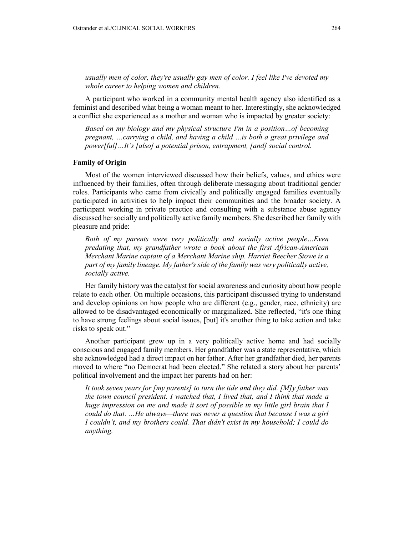*usually men of color, they're usually gay men of color. I feel like I've devoted my whole career to helping women and children.*

A participant who worked in a community mental health agency also identified as a feminist and described what being a woman meant to her. Interestingly, she acknowledged a conflict she experienced as a mother and woman who is impacted by greater society:

*Based on my biology and my physical structure I'm in a position…of becoming pregnant, …carrying a child, and having a child …is both a great privilege and power[ful]…It's [also] a potential prison, entrapment, [and] social control.*

## **Family of Origin**

Most of the women interviewed discussed how their beliefs, values, and ethics were influenced by their families, often through deliberate messaging about traditional gender roles. Participants who came from civically and politically engaged families eventually participated in activities to help impact their communities and the broader society. A participant working in private practice and consulting with a substance abuse agency discussed her socially and politically active family members. She described her family with pleasure and pride:

*Both of my parents were very politically and socially active people…Even predating that, my grandfather wrote a book about the first African-American Merchant Marine captain of a Merchant Marine ship. Harriet Beecher Stowe is a part of my family lineage. My father's side of the family was very politically active, socially active.*

Her family history was the catalyst for social awareness and curiosity about how people relate to each other. On multiple occasions, this participant discussed trying to understand and develop opinions on how people who are different (e.g., gender, race, ethnicity) are allowed to be disadvantaged economically or marginalized. She reflected, "it's one thing to have strong feelings about social issues, [but] it's another thing to take action and take risks to speak out."

Another participant grew up in a very politically active home and had socially conscious and engaged family members. Her grandfather was a state representative, which she acknowledged had a direct impact on her father. After her grandfather died, her parents moved to where "no Democrat had been elected." She related a story about her parents' political involvement and the impact her parents had on her:

*It took seven years for [my parents] to turn the tide and they did. [M]y father was the town council president. I watched that, I lived that, and I think that made a huge impression on me and made it sort of possible in my little girl brain that I could do that. …He always—there was never a question that because I was a girl I couldn't, and my brothers could. That didn't exist in my household; I could do anything.*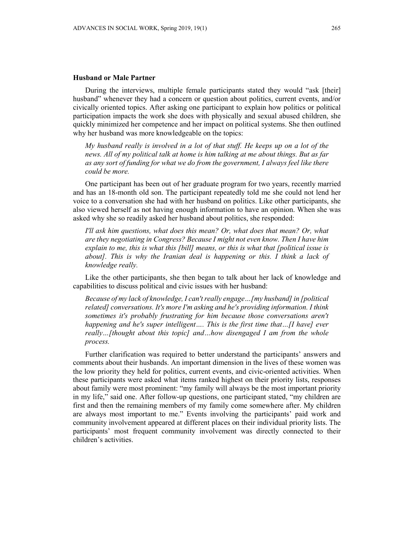#### **Husband or Male Partner**

During the interviews, multiple female participants stated they would "ask [their] husband" whenever they had a concern or question about politics, current events, and/or civically oriented topics. After asking one participant to explain how politics or political participation impacts the work she does with physically and sexual abused children, she quickly minimized her competence and her impact on political systems. She then outlined why her husband was more knowledgeable on the topics:

*My husband really is involved in a lot of that stuff. He keeps up on a lot of the news. All of my political talk at home is him talking at me about things. But as far as any sort of funding for what we do from the government, I always feel like there could be more.*

One participant has been out of her graduate program for two years, recently married and has an 18-month old son. The participant repeatedly told me she could not lend her voice to a conversation she had with her husband on politics. Like other participants, she also viewed herself as not having enough information to have an opinion. When she was asked why she so readily asked her husband about politics, she responded:

*I'll ask him questions, what does this mean? Or, what does that mean? Or, what are they negotiating in Congress? Because I might not even know. Then I have him explain to me, this is what this [bill] means, or this is what that [political issue is about]. This is why the Iranian deal is happening or this. I think a lack of knowledge really.*

Like the other participants, she then began to talk about her lack of knowledge and capabilities to discuss political and civic issues with her husband:

*Because of my lack of knowledge, I can't really engage…[my husband] in [political related] conversations. It's more I'm asking and he's providing information. I think sometimes it's probably frustrating for him because those conversations aren't happening and he's super intelligent…. This is the first time that…[I have] ever really…[thought about this topic] and…how disengaged I am from the whole process.*

Further clarification was required to better understand the participants' answers and comments about their husbands. An important dimension in the lives of these women was the low priority they held for politics, current events, and civic-oriented activities. When these participants were asked what items ranked highest on their priority lists, responses about family were most prominent: "my family will always be the most important priority in my life," said one. After follow-up questions, one participant stated, "my children are first and then the remaining members of my family come somewhere after. My children are always most important to me." Events involving the participants' paid work and community involvement appeared at different places on their individual priority lists. The participants' most frequent community involvement was directly connected to their children's activities.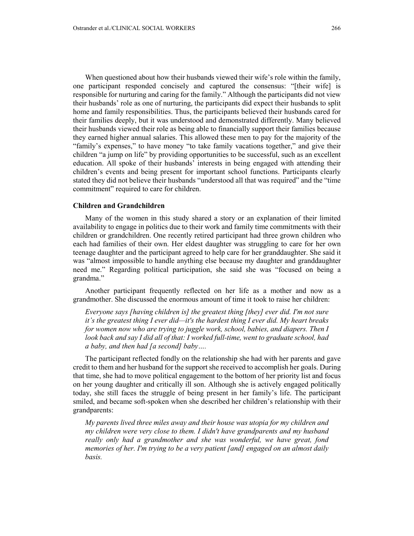When questioned about how their husbands viewed their wife's role within the family, one participant responded concisely and captured the consensus: "[their wife] is responsible for nurturing and caring for the family." Although the participants did not view their husbands' role as one of nurturing, the participants did expect their husbands to split home and family responsibilities. Thus, the participants believed their husbands cared for their families deeply, but it was understood and demonstrated differently. Many believed their husbands viewed their role as being able to financially support their families because they earned higher annual salaries. This allowed these men to pay for the majority of the "family's expenses," to have money "to take family vacations together," and give their children "a jump on life" by providing opportunities to be successful, such as an excellent education. All spoke of their husbands' interests in being engaged with attending their children's events and being present for important school functions. Participants clearly stated they did not believe their husbands "understood all that was required" and the "time commitment" required to care for children.

## **Children and Grandchildren**

Many of the women in this study shared a story or an explanation of their limited availability to engage in politics due to their work and family time commitments with their children or grandchildren. One recently retired participant had three grown children who each had families of their own. Her eldest daughter was struggling to care for her own teenage daughter and the participant agreed to help care for her granddaughter. She said it was "almost impossible to handle anything else because my daughter and granddaughter need me." Regarding political participation, she said she was "focused on being a grandma."

Another participant frequently reflected on her life as a mother and now as a grandmother. She discussed the enormous amount of time it took to raise her children:

*Everyone says [having children is] the greatest thing [they] ever did. I'm not sure it's the greatest thing I ever did—it's the hardest thing I ever did. My heart breaks for women now who are trying to juggle work, school, babies, and diapers. Then I look back and say I did all of that: I worked full-time, went to graduate school, had a baby, and then had [a second] baby….*

The participant reflected fondly on the relationship she had with her parents and gave credit to them and her husband for the support she received to accomplish her goals. During that time, she had to move political engagement to the bottom of her priority list and focus on her young daughter and critically ill son. Although she is actively engaged politically today, she still faces the struggle of being present in her family's life. The participant smiled, and became soft-spoken when she described her children's relationship with their grandparents:

*My parents lived three miles away and their house was utopia for my children and my children were very close to them. I didn't have grandparents and my husband really only had a grandmother and she was wonderful, we have great, fond memories of her. I'm trying to be a very patient [and] engaged on an almost daily basis.*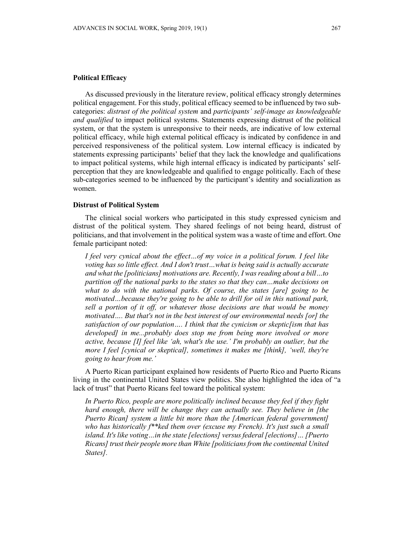# **Political Efficacy**

As discussed previously in the literature review, political efficacy strongly determines political engagement. For this study, political efficacy seemed to be influenced by two subcategories: *distrust of the political system* and *participants' self-image as knowledgeable and qualified* to impact political systems. Statements expressing distrust of the political system, or that the system is unresponsive to their needs, are indicative of low external political efficacy, while high external political efficacy is indicated by confidence in and perceived responsiveness of the political system. Low internal efficacy is indicated by statements expressing participants' belief that they lack the knowledge and qualifications to impact political systems, while high internal efficacy is indicated by participants' selfperception that they are knowledgeable and qualified to engage politically. Each of these sub-categories seemed to be influenced by the participant's identity and socialization as women.

# **Distrust of Political System**

The clinical social workers who participated in this study expressed cynicism and distrust of the political system. They shared feelings of not being heard, distrust of politicians, and that involvement in the political system was a waste of time and effort. One female participant noted:

*I feel very cynical about the effect…of my voice in a political forum. I feel like voting has so little effect. And I don't trust…what is being said is actually accurate and what the [politicians] motivations are. Recently, I was reading about a bill…to partition off the national parks to the states so that they can…make decisions on what to do with the national parks. Of course, the states [are] going to be motivated…because they're going to be able to drill for oil in this national park, sell a portion of it off, or whatever those decisions are that would be money motivated…. But that's not in the best interest of our environmental needs [or] the satisfaction of our population…. I think that the cynicism or skeptic[ism that has developed] in me...probably does stop me from being more involved or more active, because [I] feel like 'ah, what's the use.' I'm probably an outlier, but the more I feel [cynical or skeptical], sometimes it makes me [think], 'well, they're going to hear from me.'*

A Puerto Rican participant explained how residents of Puerto Rico and Puerto Ricans living in the continental United States view politics. She also highlighted the idea of "a lack of trust" that Puerto Ricans feel toward the political system:

*In Puerto Rico, people are more politically inclined because they feel if they fight hard enough, there will be change they can actually see. They believe in [the Puerto Rican] system a little bit more than the [American federal government] who has historically f\*\*ked them over (excuse my French). It's just such a small island. It's like voting…in the state [elections] versus federal [elections]… [Puerto Ricans] trust their people more than White [politicians from the continental United States].*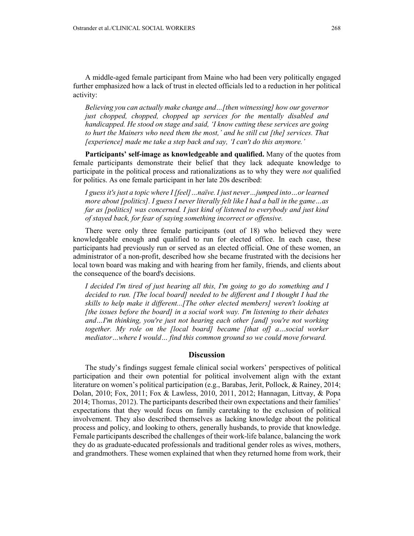*Believing you can actually make change and…[then witnessing] how our governor just chopped, chopped, chopped up services for the mentally disabled and handicapped. He stood on stage and said, 'I know cutting these services are going to hurt the Mainers who need them the most,' and he still cut [the] services. That [experience] made me take a step back and say, 'I can't do this anymore.'*

**Participants' self-image as knowledgeable and qualified.** Many of the quotes from female participants demonstrate their belief that they lack adequate knowledge to participate in the political process and rationalizations as to why they were *not* qualified for politics. As one female participant in her late 20s described:

*I guess it's just a topic where I [feel]…naïve. I just never…jumped into…or learned more about [politics]. I guess I never literally felt like I had a ball in the game…as far as [politics] was concerned. I just kind of listened to everybody and just kind of stayed back, for fear of saying something incorrect or offensive.*

There were only three female participants (out of 18) who believed they were knowledgeable enough and qualified to run for elected office. In each case, these participants had previously run or served as an elected official. One of these women, an administrator of a non-profit, described how she became frustrated with the decisions her local town board was making and with hearing from her family, friends, and clients about the consequence of the board's decisions.

*I decided I'm tired of just hearing all this, I'm going to go do something and I decided to run. [The local board] needed to be different and I thought I had the skills to help make it different...[The other elected members] weren't looking at [the issues before the board] in a social work way. I'm listening to their debates and…I'm thinking, you're just not hearing each other [and] you're not working together. My role on the [local board] became [that of] a…social worker mediator…where I would… find this common ground so we could move forward.*

# **Discussion**

The study's findings suggest female clinical social workers' perspectives of political participation and their own potential for political involvement align with the extant literature on women's political participation (e.g., Barabas, Jerit, Pollock, & Rainey, 2014; Dolan, 2010; Fox, 2011; Fox & Lawless, 2010, 2011, 2012; Hannagan, Littvay, & Popa 2014; Thomas, 2012). The participants described their own expectations and their families' expectations that they would focus on family caretaking to the exclusion of political involvement. They also described themselves as lacking knowledge about the political process and policy, and looking to others, generally husbands, to provide that knowledge. Female participants described the challenges of their work-life balance, balancing the work they do as graduate-educated professionals and traditional gender roles as wives, mothers, and grandmothers. These women explained that when they returned home from work, their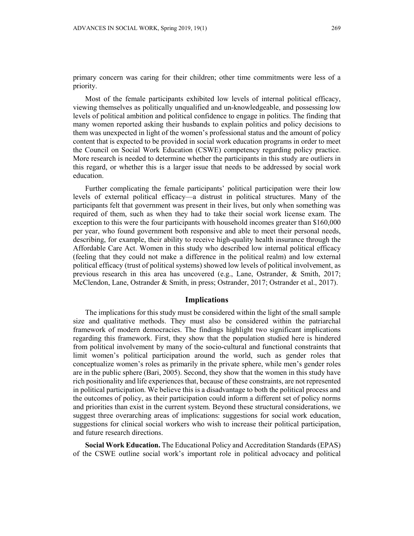primary concern was caring for their children; other time commitments were less of a priority.

Most of the female participants exhibited low levels of internal political efficacy, viewing themselves as politically unqualified and un-knowledgeable, and possessing low levels of political ambition and political confidence to engage in politics. The finding that many women reported asking their husbands to explain politics and policy decisions to them was unexpected in light of the women's professional status and the amount of policy content that is expected to be provided in social work education programs in order to meet the Council on Social Work Education (CSWE) competency regarding policy practice. More research is needed to determine whether the participants in this study are outliers in this regard, or whether this is a larger issue that needs to be addressed by social work education.

Further complicating the female participants' political participation were their low levels of external political efficacy—a distrust in political structures. Many of the participants felt that government was present in their lives, but only when something was required of them, such as when they had to take their social work license exam. The exception to this were the four participants with household incomes greater than \$160,000 per year, who found government both responsive and able to meet their personal needs, describing, for example, their ability to receive high-quality health insurance through the Affordable Care Act. Women in this study who described low internal political efficacy (feeling that they could not make a difference in the political realm) and low external political efficacy (trust of political systems) showed low levels of political involvement, as previous research in this area has uncovered (e.g., Lane, Ostrander, & Smith, 2017; McClendon, Lane, Ostrander & Smith, in press; Ostrander, 2017; Ostrander et al., 2017).

#### **Implications**

The implications for this study must be considered within the light of the small sample size and qualitative methods. They must also be considered within the patriarchal framework of modern democracies. The findings highlight two significant implications regarding this framework. First, they show that the population studied here is hindered from political involvement by many of the socio-cultural and functional constraints that limit women's political participation around the world, such as gender roles that conceptualize women's roles as primarily in the private sphere, while men's gender roles are in the public sphere (Bari, 2005). Second, they show that the women in this study have rich positionality and life experiences that, because of these constraints, are not represented in political participation. We believe this is a disadvantage to both the political process and the outcomes of policy, as their participation could inform a different set of policy norms and priorities than exist in the current system. Beyond these structural considerations, we suggest three overarching areas of implications: suggestions for social work education, suggestions for clinical social workers who wish to increase their political participation, and future research directions.

**Social Work Education.** The Educational Policy and Accreditation Standards (EPAS) of the CSWE outline social work's important role in political advocacy and political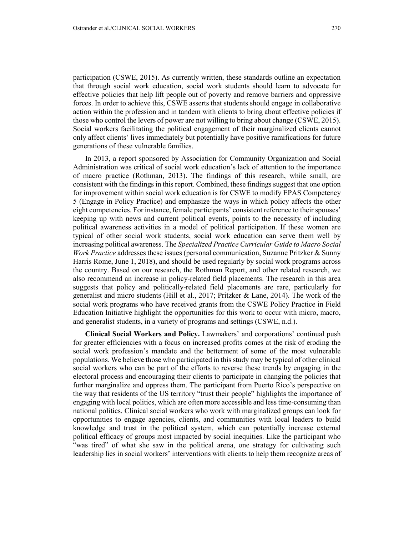participation (CSWE, 2015). As currently written, these standards outline an expectation that through social work education, social work students should learn to advocate for effective policies that help lift people out of poverty and remove barriers and oppressive forces. In order to achieve this, CSWE asserts that students should engage in collaborative action within the profession and in tandem with clients to bring about effective policies if those who control the levers of power are not willing to bring about change (CSWE, 2015). Social workers facilitating the political engagement of their marginalized clients cannot only affect clients' lives immediately but potentially have positive ramifications for future generations of these vulnerable families.

In 2013, a report sponsored by Association for Community Organization and Social Administration was critical of social work education's lack of attention to the importance of macro practice (Rothman, 2013). The findings of this research, while small, are consistent with the findings in this report. Combined, these findings suggest that one option for improvement within social work education is for CSWE to modify EPAS Competency 5 (Engage in Policy Practice) and emphasize the ways in which policy affects the other eight competencies. For instance, female participants' consistent reference to their spouses' keeping up with news and current political events, points to the necessity of including political awareness activities in a model of political participation. If these women are typical of other social work students, social work education can serve them well by increasing political awareness. The *Specialized Practice Curricular Guide to Macro Social Work Practice* addresses these issues (personal communication, Suzanne Pritzker & Sunny Harris Rome, June 1, 2018), and should be used regularly by social work programs across the country. Based on our research, the Rothman Report, and other related research, we also recommend an increase in policy-related field placements. The research in this area suggests that policy and politically-related field placements are rare, particularly for generalist and micro students (Hill et al., 2017; Pritzker & Lane, 2014). The work of the social work programs who have received grants from the CSWE Policy Practice in Field Education Initiative highlight the opportunities for this work to occur with micro, macro, and generalist students, in a variety of programs and settings (CSWE, n.d.).

**Clinical Social Workers and Policy.** Lawmakers' and corporations' continual push for greater efficiencies with a focus on increased profits comes at the risk of eroding the social work profession's mandate and the betterment of some of the most vulnerable populations. We believe those who participated in this study may be typical of other clinical social workers who can be part of the efforts to reverse these trends by engaging in the electoral process and encouraging their clients to participate in changing the policies that further marginalize and oppress them. The participant from Puerto Rico's perspective on the way that residents of the US territory "trust their people" highlights the importance of engaging with local politics, which are often more accessible and less time-consuming than national politics. Clinical social workers who work with marginalized groups can look for opportunities to engage agencies, clients, and communities with local leaders to build knowledge and trust in the political system, which can potentially increase external political efficacy of groups most impacted by social inequities. Like the participant who "was tired" of what she saw in the political arena, one strategy for cultivating such leadership lies in social workers' interventions with clients to help them recognize areas of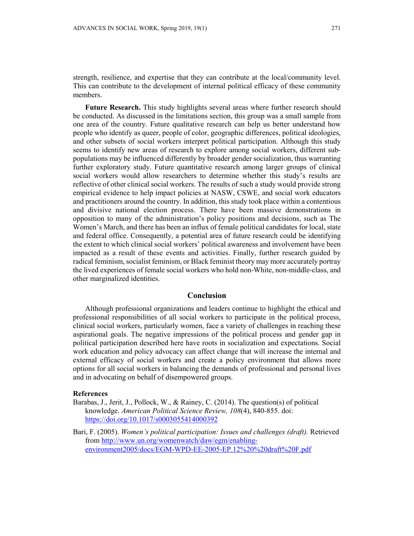strength, resilience, and expertise that they can contribute at the local/community level. This can contribute to the development of internal political efficacy of these community members.

**Future Research.** This study highlights several areas where further research should be conducted. As discussed in the limitations section, this group was a small sample from one area of the country. Future qualitative research can help us better understand how people who identify as queer, people of color, geographic differences, political ideologies, and other subsets of social workers interpret political participation. Although this study seems to identify new areas of research to explore among social workers, different subpopulations may be influenced differently by broader gender socialization, thus warranting further exploratory study. Future quantitative research among larger groups of clinical social workers would allow researchers to determine whether this study's results are reflective of other clinical social workers. The results of such a study would provide strong empirical evidence to help impact policies at NASW, CSWE, and social work educators and practitioners around the country. In addition, this study took place within a contentious and divisive national election process. There have been massive demonstrations in opposition to many of the administration's policy positions and decisions, such as The Women's March, and there has been an influx of female political candidates for local, state and federal office. Consequently, a potential area of future research could be identifying the extent to which clinical social workers' political awareness and involvement have been impacted as a result of these events and activities. Finally, further research guided by radical feminism, socialist feminism, or Black feminist theory may more accurately portray the lived experiences of female social workers who hold non-White, non-middle-class, and other marginalized identities.

#### **Conclusion**

Although professional organizations and leaders continue to highlight the ethical and professional responsibilities of all social workers to participate in the political process, clinical social workers, particularly women, face a variety of challenges in reaching these aspirational goals. The negative impressions of the political process and gender gap in political participation described here have roots in socialization and expectations. Social work education and policy advocacy can affect change that will increase the internal and external efficacy of social workers and create a policy environment that allows more options for all social workers in balancing the demands of professional and personal lives and in advocating on behalf of disempowered groups.

# **References**

- Barabas, J., Jerit, J., Pollock, W., & Rainey, C. (2014). The question(s) of political knowledge. *American Political Science Review, 108*(4), 840-855. doi: <https://doi.org/10.1017/s0003055414000392>
- Bari, F. (2005). *Women's political participation: Issues and challenges (draft).* Retrieved from [http://www.un.org/womenwatch/daw/egm/enabling](http://www.un.org/womenwatch/daw/egm/enabling-environment2005/docs/EGM-WPD-EE-2005-EP.12%20%20draft%20F.pdf)[environment2005/docs/EGM-WPD-EE-2005-EP.12%20%20draft%20F.pdf](http://www.un.org/womenwatch/daw/egm/enabling-environment2005/docs/EGM-WPD-EE-2005-EP.12%20%20draft%20F.pdf)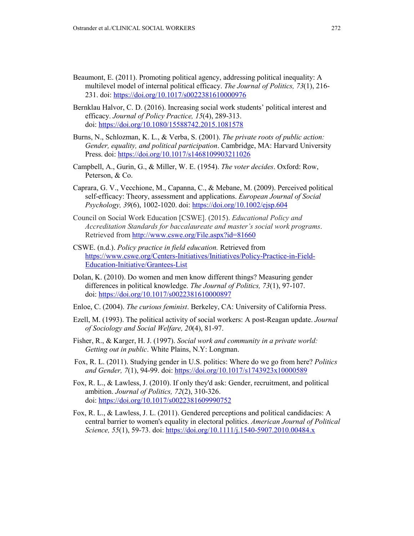- Beaumont, E. (2011). Promoting political agency, addressing political inequality: A multilevel model of internal political efficacy. *The Journal of Politics, 73*(1), 216- 231. doi: <https://doi.org/10.1017/s0022381610000976>
- Bernklau Halvor, C. D. (2016). Increasing social work students' political interest and efficacy. *Journal of Policy Practice, 15*(4), 289-313. doi: <https://doi.org/10.1080/15588742.2015.1081578>
- Burns, N., Schlozman, K. L., & Verba, S. (2001). *The private roots of public action: Gender, equality, and political participation*. Cambridge, MA: Harvard University Press. doi: <https://doi.org/10.1017/s1468109903211026>
- Campbell, A., Gurin, G., & Miller, W. E. (1954). *The voter decides*. Oxford: Row, Peterson, & Co.
- Caprara, G. V., Vecchione, M., Capanna, C., & Mebane, M. (2009). Perceived political self-efficacy: Theory, assessment and applications. *European Journal of Social Psychology, 39*(6), 1002-1020. doi: <https://doi.org/10.1002/ejsp.604>
- Council on Social Work Education [CSWE]. (2015). *Educational Policy and Accreditation Standards for baccalaureate and master's social work programs*. Retrieved fro[m http://www.cswe.org/File.aspx?id=81660](http://www.cswe.org/File.aspx?id=81660)
- CSWE. (n.d.). *Policy practice in field education.* Retrieved from [https://www.cswe.org/Centers-Initiatives/Initiatives/Policy-Practice-in-Field-](https://www.cswe.org/Centers-Initiatives/Initiatives/Policy-Practice-in-Field-Education-Initiative/Grantees-List)[Education-Initiative/Grantees-List](https://www.cswe.org/Centers-Initiatives/Initiatives/Policy-Practice-in-Field-Education-Initiative/Grantees-List)
- Dolan, K. (2010). Do women and men know different things? Measuring gender differences in political knowledge. *The Journal of Politics, 73*(1), 97-107. doi: <https://doi.org/10.1017/s0022381610000897>
- Enloe, C. (2004). *The curious feminist*. Berkeley, CA: University of California Press.
- Ezell, M. (1993). The political activity of social workers: A post-Reagan update. *Journal of Sociology and Social Welfare, 20*(4), 81-97.
- Fisher, R., & Karger, H. J. (1997). *Social work and community in a private world: Getting out in public*. White Plains, N.Y: Longman.
- Fox, R. L. (2011). Studying gender in U.S. politics: Where do we go from here? *Politics and Gender, 7*(1), 94-99. doi: <https://doi.org/10.1017/s1743923x10000589>
- Fox, R. L., & Lawless, J. (2010). If only they'd ask: Gender, recruitment, and political ambition. *Journal of Politics, 72*(2), 310-326. doi: <https://doi.org/10.1017/s0022381609990752>
- Fox, R. L., & Lawless, J. L. (2011). Gendered perceptions and political candidacies: A central barrier to women's equality in electoral politics. *American Journal of Political Science, 55*(1), 59-73. doi: <https://doi.org/10.1111/j.1540-5907.2010.00484.x>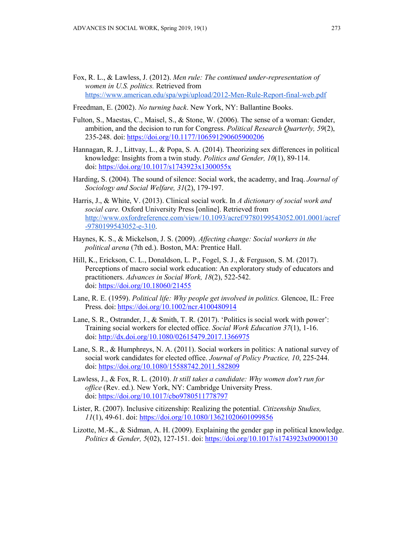- Fox, R. L., & Lawless, J. (2012). *Men rule: The continued under-representation of women in U.S. politics.* Retrieved fro[m](https://www.american.edu/spa/wpi/upload/2012-Men-Rule-Report-final-web.pdf) <https://www.american.edu/spa/wpi/upload/2012-Men-Rule-Report-final-web.pdf>
- Freedman, E. (2002). *No turning back*. New York, NY: Ballantine Books.
- Fulton, S., Maestas, C., Maisel, S., & Stone, W. (2006). The sense of a woman: Gender, ambition, and the decision to run for Congress. *Political Research Quarterly, 59*(2), 235-248. doi: <https://doi.org/10.1177/106591290605900206>
- Hannagan, R. J., Littvay, L., & Popa, S. A. (2014). Theorizing sex differences in political knowledge: Insights from a twin study. *Politics and Gender, 10*(1), 89-114. doi: <https://doi.org/10.1017/s1743923x1300055x>
- Harding, S. (2004). The sound of silence: Social work, the academy, and Iraq. *Journal of Sociology and Social Welfare, 31*(2), 179-197.
- Harris, J., & White, V. (2013). Clinical social work. In *A dictionary of social work and social care.* Oxford University Press [online]. Retrieved from [http://www.oxfordreference.com/view/10.1093/acref/9780199543052.001.0001/acref](http://www.oxfordreference.com/view/10.1093/acref/9780199543052.001.0001/acref-9780199543052-e-310) [-9780199543052-e-310.](http://www.oxfordreference.com/view/10.1093/acref/9780199543052.001.0001/acref-9780199543052-e-310)
- Haynes, K. S., & Mickelson, J. S. (2009). *Affecting change: Social workers in the political arena* (7th ed.). Boston, MA: Prentice Hall.
- Hill, K., Erickson, C. L., Donaldson, L. P., Fogel, S. J., & Ferguson, S. M. (2017). Perceptions of macro social work education: An exploratory study of educators and practitioners. *Advances in Social Work, 18*(2), 522-542. doi:<https://doi.org/10.18060/21455>
- Lane, R. E. (1959). *Political life: Why people get involved in politics.* Glencoe, IL: Free Press. doi: <https://doi.org/10.1002/ncr.4100480914>
- Lane, S. R., Ostrander, J., & Smith, T. R. (2017). 'Politics is social work with power': Training social workers for elected office. *Social Work Education 37*(1), 1-16. doi:<http://dx.doi.org/10.1080/02615479.2017.1366975>
- Lane, S. R., & Humphreys, N. A. (2011). Social workers in politics: A national survey of social work candidates for elected office. *Journal of Policy Practice, 10*, 225-244. doi:<https://doi.org/10.1080/15588742.2011.582809>
- Lawless, J., & Fox, R. L. (2010). *It still takes a candidate: Why women don't run for office* (Rev. ed.). New York, NY: Cambridge University Press. doi: <https://doi.org/10.1017/cbo9780511778797>
- Lister, R. (2007). Inclusive citizenship: Realizing the potential. *Citizenship Studies, 11*(1), 49-61. doi: <https://doi.org/10.1080/13621020601099856>
- Lizotte, M.-K., & Sidman, A. H. (2009). Explaining the gender gap in political knowledge. *Politics & Gender, 5*(02), 127-151. doi: <https://doi.org/10.1017/s1743923x09000130>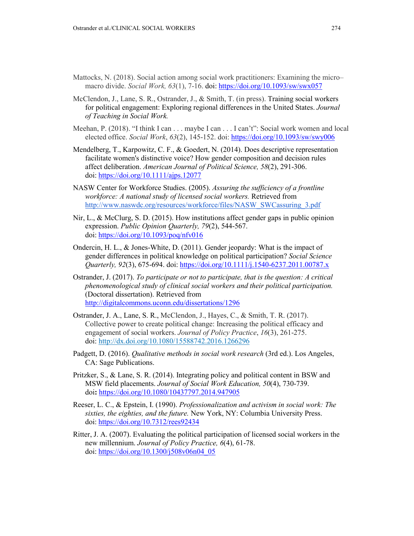- Mattocks, N. (2018). Social action among social work practitioners: Examining the micro– macro divide. *Social Work, 63*(1), 7-16. doi: <https://doi.org/10.1093/sw/swx057>
- McClendon, J., Lane, S. R., Ostrander, J., & Smith, T. (in press). Training social workers for political engagement: Exploring regional differences in the United States. *Journal of Teaching in Social Work.*
- Meehan, P. (2018). "I think I can . . . maybe I can . . . I can't": Social work women and local elected office. *Social Work*, *63*(2), 145-152. doi[:](https://doi-org.ezproxy.lib.uconn.edu/10.1093/sw/swy006) <https://doi.org/10.1093/sw/swy006>
- Mendelberg, T., Karpowitz, C. F., & Goedert, N. (2014). Does descriptive representation facilitate women's distinctive voice? How gender composition and decision rules affect deliberation. *American Journal of Political Science, 58*(2), 291-306. doi: <https://doi.org/10.1111/ajps.12077>
- NASW Center for Workforce Studies. (2005). *Assuring the sufficiency of a frontline workforce: A national study of licensed social workers.* Retrieved from [http://www.naswdc.org/resources/workforce/files/NASW\\_SWCassuring\\_3.pdf](http://www.naswdc.org/resources/workforce/files/NASW_SWCassuring_3.pdf)
- Nir, L., & McClurg, S. D. (2015). How institutions affect gender gaps in public opinion expression. *Public Opinion Quarterly, 79*(2), 544-567. doi: <https://doi.org/10.1093/poq/nfv016>
- Ondercin, H. L., & Jones-White, D. (2011). Gender jeopardy: What is the impact of gender differences in political knowledge on political participation? *Social Science Quarterly, 92*(3), 675-694. doi: <https://doi.org/10.1111/j.1540-6237.2011.00787.x>
- Ostrander, J. (2017). *To participate or not to participate, that is the question: A critical phenomenological study of clinical social workers and their political participation.* (Doctoral dissertation). Retrieved from <http://digitalcommons.uconn.edu/dissertations/1296>
- Ostrander, J. A., Lane, S. R., McClendon, J., Hayes, C., & Smith, T. R. (2017). Collective power to create political change: Increasing the political efficacy and engagement of social workers. *Journal of Policy Practice*, *16*(3), 261-275. doi:<http://dx.doi.org/10.1080/15588742.2016.1266296>
- Padgett, D. (2016). *Qualitative methods in social work research* (3rd ed.). Los Angeles, CA: Sage Publications.
- Pritzker, S., & Lane, S. R. (2014). Integrating policy and political content in BSW and MSW field placements. *Journal of Social Work Education, 50*(4), 730-739. doi**:** <https://doi.org/10.1080/10437797.2014.947905>
- Reeser, L. C., & Epstein, I. (1990). *Professionalization and activism in social work: The sixties, the eighties, and the future.* New York, NY: Columbia University Press. doi: <https://doi.org/10.7312/rees92434>
- Ritter, J. A. (2007). Evaluating the political participation of licensed social workers in the new millennium. *Journal of Policy Practice, 6*(4), 61-78. doi: [https://doi.org/10.1300/j508v06n04\\_05](https://doi.org/10.1300/j508v06n04_05)